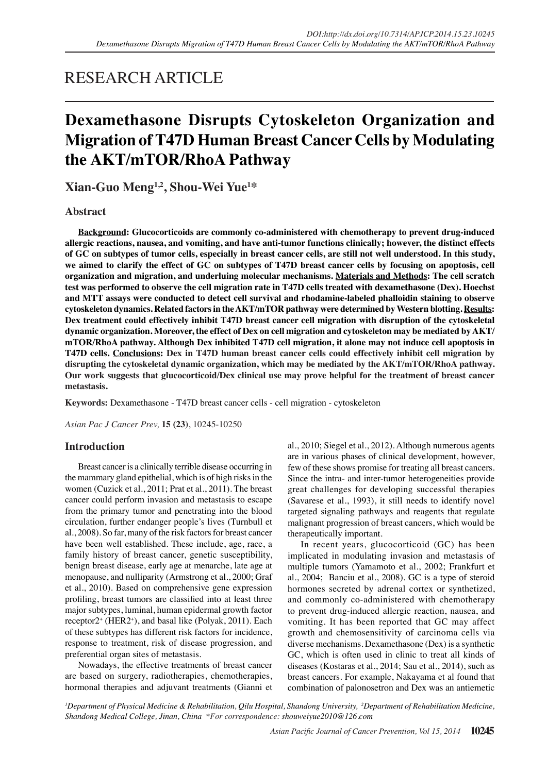# RESEARCH ARTICLE

# **Dexamethasone Disrupts Cytoskeleton Organization and Migration of T47D Human Breast Cancer Cells by Modulating the AKT/mTOR/RhoA Pathway**

**Xian-Guo Meng1,2, Shou-Wei Yue1 \***

# **Abstract**

**Background: Glucocorticoids are commonly co-administered with chemotherapy to prevent drug-induced allergic reactions, nausea, and vomiting, and have anti-tumor functions clinically; however, the distinct effects of GC on subtypes of tumor cells, especially in breast cancer cells, are still not well understood. In this study, we aimed to clarify the effect of GC on subtypes of T47D breast cancer cells by focusing on apoptosis, cell organization and migration, and underluing molecular mechanisms. Materials and Methods: The cell scratch test was performed to observe the cell migration rate in T47D cells treated with dexamethasone (Dex). Hoechst and MTT assays were conducted to detect cell survival and rhodamine-labeled phalloidin staining to observe cytoskeleton dynamics. Related factors in the AKT/mTOR pathway were determined by Western blotting. Results: Dex treatment could effectively inhibit T47D breast cancer cell migration with disruption of the cytoskeletal dynamic organization. Moreover, the effect of Dex on cell migration and cytoskeleton may be mediated by AKT/ mTOR/RhoA pathway. Although Dex inhibited T47D cell migration, it alone may not induce cell apoptosis in T47D cells. Conclusions: Dex in T47D human breast cancer cells could effectively inhibit cell migration by disrupting the cytoskeletal dynamic organization, which may be mediated by the AKT/mTOR/RhoA pathway. Our work suggests that glucocorticoid/Dex clinical use may prove helpful for the treatment of breast cancer metastasis.**

**Keywords:** Dexamethasone - T47D breast cancer cells - cell migration - cytoskeleton

*Asian Pac J Cancer Prev,* **15 (23)**, 10245-10250

# **Introduction**

Breast cancer is a clinically terrible disease occurring in the mammary gland epithelial, which is of high risks in the women (Cuzick et al., 2011; Prat et al., 2011). The breast cancer could perform invasion and metastasis to escape from the primary tumor and penetrating into the blood circulation, further endanger people's lives (Turnbull et al., 2008). So far, many of the risk factors for breast cancer have been well established. These include, age, race, a family history of breast cancer, genetic susceptibility, benign breast disease, early age at menarche, late age at menopause, and nulliparity (Armstrong et al., 2000; Graf et al., 2010). Based on comprehensive gene expression profiling, breast tumors are classified into at least three major subtypes, luminal, human epidermal growth factor receptor2<sup>+</sup> (HER2<sup>+</sup>), and basal like (Polyak, 2011). Each of these subtypes has different risk factors for incidence, response to treatment, risk of disease progression, and preferential organ sites of metastasis.

Nowadays, the effective treatments of breast cancer are based on surgery, radiotherapies, chemotherapies, hormonal therapies and adjuvant treatments (Gianni et al., 2010; Siegel et al., 2012). Although numerous agents are in various phases of clinical development, however, few of these shows promise for treating all breast cancers. Since the intra- and inter-tumor heterogeneities provide great challenges for developing successful therapies (Savarese et al., 1993), it still needs to identify novel targeted signaling pathways and reagents that regulate malignant progression of breast cancers, which would be therapeutically important.

In recent years, glucocorticoid (GC) has been implicated in modulating invasion and metastasis of multiple tumors (Yamamoto et al., 2002; Frankfurt et al., 2004; Banciu et al., 2008). GC is a type of steroid hormones secreted by adrenal cortex or synthetized, and commonly co-administered with chemotherapy to prevent drug-induced allergic reaction, nausea, and vomiting. It has been reported that GC may affect growth and chemosensitivity of carcinoma cells via diverse mechanisms. Dexamethasone (Dex) is a synthetic GC, which is often used in clinic to treat all kinds of diseases (Kostaras et al., 2014; Sau et al., 2014), such as breast cancers. For example, Nakayama et al found that combination of palonosetron and Dex was an antiemetic

*1 Department of Physical Medicine & Rehabilitation, Qilu Hospital, Shandong University, 2 Department of Rehabilitation Medicine, Shandong Medical College, Jinan, China \*For correspondence: shouweiyue2010@126.com*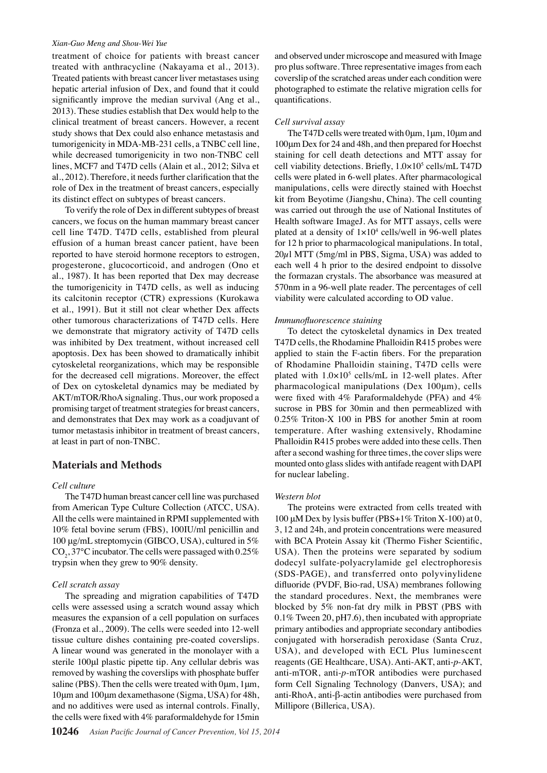#### *Xian-Guo Meng and Shou-Wei Yue*

treatment of choice for patients with breast cancer treated with anthracycline (Nakayama et al., 2013). Treated patients with breast cancer liver metastases using hepatic arterial infusion of Dex, and found that it could significantly improve the median survival (Ang et al., 2013). These studies establish that Dex would help to the clinical treatment of breast cancers. However, a recent study shows that Dex could also enhance metastasis and tumorigenicity in MDA-MB-231 cells, a TNBC cell line, while decreased tumorigenicity in two non-TNBC cell lines, MCF7 and T47D cells (Alain et al., 2012; Silva et al., 2012). Therefore, it needs further clarification that the role of Dex in the treatment of breast cancers, especially its distinct effect on subtypes of breast cancers.

To verify the role of Dex in different subtypes of breast cancers, we focus on the human mammary breast cancer cell line T47D. T47D cells, established from pleural effusion of a human breast cancer patient, have been reported to have steroid hormone receptors to estrogen, progesterone, glucocorticoid, and androgen (Ono et al., 1987). It has been reported that Dex may decrease the tumorigenicity in T47D cells, as well as inducing its calcitonin receptor (CTR) expressions (Kurokawa et al., 1991). But it still not clear whether Dex affects other tumorous characterizations of T47D cells. Here we demonstrate that migratory activity of T47D cells was inhibited by Dex treatment, without increased cell apoptosis. Dex has been showed to dramatically inhibit cytoskeletal reorganizations, which may be responsible for the decreased cell migrations. Moreover, the effect of Dex on cytoskeletal dynamics may be mediated by AKT/mTOR/RhoA signaling. Thus, our work proposed a promising target of treatment strategies for breast cancers, and demonstrates that Dex may work as a coadjuvant of tumor metastasis inhibitor in treatment of breast cancers, at least in part of non-TNBC.

## **Materials and Methods**

#### *Cell culture*

The T47D human breast cancer cell line was purchased from American Type Culture Collection (ATCC, USA). All the cells were maintained in RPMI supplemented with 10% fetal bovine serum (FBS), 100IU/ml penicillin and 100 μg/mL streptomycin (GIBCO, USA), cultured in 5%  $\text{CO}_2$ , 37°C incubator. The cells were passaged with 0.25% trypsin when they grew to 90% density.

#### *Cell scratch assay*

The spreading and migration capabilities of T47D cells were assessed using a scratch wound assay which measures the expansion of a cell population on surfaces (Fronza et al., 2009). The cells were seeded into 12-well tissue culture dishes containing pre-coated coverslips. A linear wound was generated in the monolayer with a sterile 100μl plastic pipette tip. Any cellular debris was removed by washing the coverslips with phosphate buffer saline (PBS). Then the cells were treated with  $0 \mu m$ ,  $1 \mu m$ , 10μm and 100μm dexamethasone (Sigma, USA) for 48h, and no additives were used as internal controls. Finally, the cells were fixed with 4% paraformaldehyde for 15min

and observed under microscope and measured with Image pro plus software. Three representative images from each coverslip of the scratched areas under each condition were photographed to estimate the relative migration cells for quantifications.

#### *Cell survival assay*

The T47D cells were treated with 0μm, 1μm, 10μm and 100μm Dex for 24 and 48h, and then prepared for Hoechst staining for cell death detections and MTT assay for cell viability detections. Briefly, 1.0×10<sup>5</sup> cells/mL T47D cells were plated in 6-well plates. After pharmacological manipulations, cells were directly stained with Hoechst kit from Beyotime (Jiangshu, China). The cell counting was carried out through the use of National Institutes of Health software ImageJ. As for MTT assays, cells were plated at a density of  $1 \times 10^4$  cells/well in 96-well plates for 12 h prior to pharmacological manipulations. In total,  $20\mu$ l MTT (5mg/ml in PBS, Sigma, USA) was added to each well 4 h prior to the desired endpoint to dissolve the formazan crystals. The absorbance was measured at 570nm in a 96-well plate reader. The percentages of cell viability were calculated according to OD value.

#### *Immunofluorescence staining*

To detect the cytoskeletal dynamics in Dex treated T47D cells, the Rhodamine Phalloidin R415 probes were applied to stain the F-actin fibers. For the preparation of Rhodamine Phalloidin staining, T47D cells were plated with  $1.0 \times 10^5$  cells/mL in 12-well plates. After pharmacological manipulations (Dex 100μm), cells were fixed with 4% Paraformaldehyde (PFA) and 4% sucrose in PBS for 30min and then permeablized with 0.25% Triton-X 100 in PBS for another 5min at room temperature. After washing extensively, Rhodamine Phalloidin R415 probes were added into these cells. Then after a second washing for three times, the cover slips were mounted onto glass slides with antifade reagent with DAPI for nuclear labeling.

#### *Western blot*

The proteins were extracted from cells treated with 100 μM Dex by lysis buffer (PBS+1% Triton X-100) at 0, 3, 12 and 24h, and protein concentrations were measured with BCA Protein Assay kit (Thermo Fisher Scientific, USA). Then the proteins were separated by sodium dodecyl sulfate-polyacrylamide gel electrophoresis (SDS-PAGE), and transferred onto polyvinylidene difluoride (PVDF, Bio-rad, USA) membranes following the standard procedures. Next, the membranes were blocked by 5% non-fat dry milk in PBST (PBS with 0.1% Tween 20, pH7.6), then incubated with appropriate primary antibodies and appropriate secondary antibodies conjugated with horseradish peroxidase (Santa Cruz, USA), and developed with ECL Plus luminescent reagents (GE Healthcare, USA). Anti-AKT, anti-*p*-AKT, anti-mTOR, anti-*p*-mTOR antibodies were purchased form Cell Signaling Technology (Danvers, USA); and anti-RhoA, anti-β-actin antibodies were purchased from Millipore (Billerica, USA).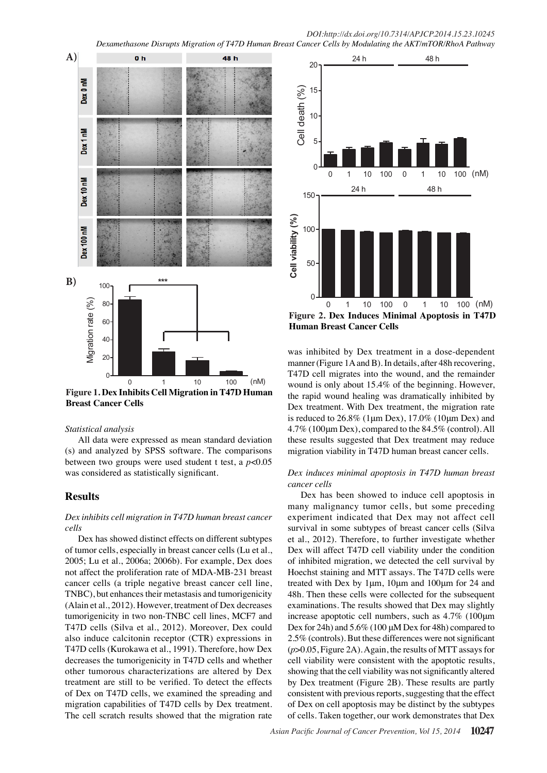

**Figure 1. Dex Inhibits Cell Migration in T47D Human Breast Cancer Cells**

### *Statistical analysis*

All data were expressed as mean standard deviation (s) and analyzed by SPSS software. The comparisons between two groups were used student t test, a *p*<0.05 was considered as statistically significant.

# **Results**

## *Dex inhibits cell migration in T47D human breast cancer cells*

Dex has showed distinct effects on different subtypes of tumor cells, especially in breast cancer cells (Lu et al., 2005; Lu et al., 2006a; 2006b). For example, Dex does not affect the proliferation rate of MDA-MB-231 breast cancer cells (a triple negative breast cancer cell line, TNBC), but enhances their metastasis and tumorigenicity (Alain et al., 2012). However, treatment of Dex decreases tumorigenicity in two non-TNBC cell lines, MCF7 and T47D cells (Silva et al., 2012). Moreover, Dex could also induce calcitonin receptor (CTR) expressions in T47D cells (Kurokawa et al., 1991). Therefore, how Dex decreases the tumorigenicity in T47D cells and whether other tumorous characterizations are altered by Dex treatment are still to be verified. To detect the effects of Dex on T47D cells, we examined the spreading and migration capabilities of T47D cells by Dex treatment. The cell scratch results showed that the migration rate



was inhibited by Dex treatment in a dose-dependent manner (Figure 1A and B). In details, after 48h recovering, T47D cell migrates into the wound, and the remainder wound is only about 15.4% of the beginning. However, the rapid wound healing was dramatically inhibited by Dex treatment. With Dex treatment, the migration rate is reduced to  $26.8\%$  (1 $\mu$ m Dex), 17.0% (10 $\mu$ m Dex) and 4.7% (100μm Dex), compared to the 84.5% (control). All these results suggested that Dex treatment may reduce migration viability in T47D human breast cancer cells.

### *Dex induces minimal apoptosis in T47D human breast cancer cells*

Dex has been showed to induce cell apoptosis in many malignancy tumor cells, but some preceding experiment indicated that Dex may not affect cell survival in some subtypes of breast cancer cells (Silva et al., 2012). Therefore, to further investigate whether Dex will affect T47D cell viability under the condition of inhibited migration, we detected the cell survival by Hoechst staining and MTT assays. The T47D cells were treated with Dex by 1μm, 10μm and 100μm for 24 and 48h. Then these cells were collected for the subsequent examinations. The results showed that Dex may slightly increase apoptotic cell numbers, such as 4.7% (100μm Dex for 24h) and 5.6% (100 μM Dex for 48h) compared to 2.5% (controls). But these differences were not significant (*p*>0.05, Figure 2A). Again, the results of MTT assays for cell viability were consistent with the apoptotic results, showing that the cell viability was not significantly altered by Dex treatment (Figure 2B). These results are partly consistent with previous reports, suggesting that the effect of Dex on cell apoptosis may be distinct by the subtypes of cells. Taken together, our work demonstrates that Dex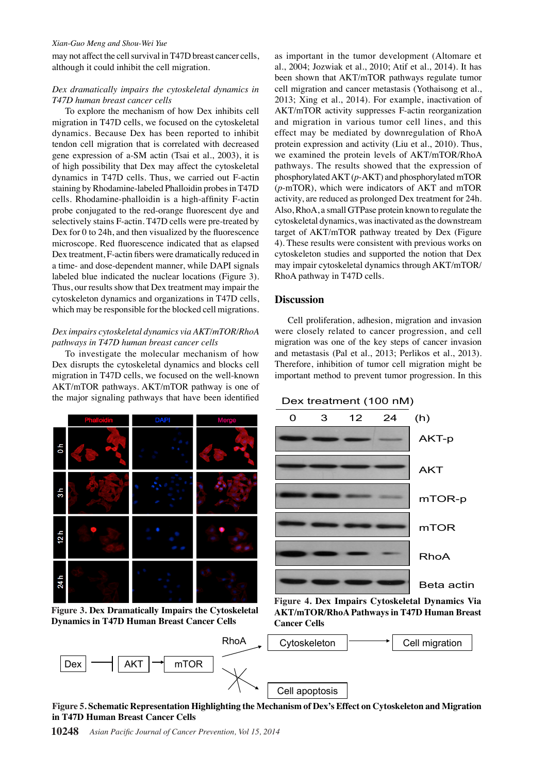#### *Xian-Guo Meng and Shou-Wei Yue*

may not affect the cell survival in T47D breast cancer cells, although it could inhibit the cell migration.

## *Dex dramatically impairs the cytoskeletal dynamics in T47D human breast cancer cells*

To explore the mechanism of how Dex inhibits cell migration in T47D cells, we focused on the cytoskeletal dynamics. Because Dex has been reported to inhibit tendon cell migration that is correlated with decreased gene expression of a-SM actin (Tsai et al., 2003), it is of high possibility that Dex may affect the cytoskeletal dynamics in T47D cells. Thus, we carried out F-actin staining by Rhodamine-labeled Phalloidin probes in T47D cells. Rhodamine-phalloidin is a high-affinity F-actin probe conjugated to the red-orange fluorescent dye and selectively stains F-actin. T47D cells were pre-treated by Dex for 0 to 24h, and then visualized by the fluorescence microscope. Red fluorescence indicated that as elapsed Dex treatment, F-actin fibers were dramatically reduced in a time- and dose-dependent manner, while DAPI signals labeled blue indicated the nuclear locations (Figure 3). Thus, our results show that Dex treatment may impair the cytoskeleton dynamics and organizations in T47D cells, which may be responsible for the blocked cell migrations.

# *Dex impairs cytoskeletal dynamics via AKT/mTOR/RhoA pathways in T47D human breast cancer cells*

To investigate the molecular mechanism of how Dex disrupts the cytoskeletal dynamics and blocks cell migration in T47D cells, we focused on the well-known AKT/mTOR pathways. AKT/mTOR pathway is one of the major signaling pathways that have been identified



**Figure 3. Dex Dramatically Impairs the Cytoskeletal Dynamics in T47D Human Breast Cancer Cells**

as important in the tumor development (Altomare et al., 2004; Jozwiak et al., 2010; Atif et al., 2014). It has been shown that AKT/mTOR pathways regulate tumor cell migration and cancer metastasis (Yothaisong et al., 2013; Xing et al., 2014). For example, inactivation of AKT/mTOR activity suppresses F-actin reorganization and migration in various tumor cell lines, and this effect may be mediated by downregulation of RhoA protein expression and activity (Liu et al., 2010). Thus, we examined the protein levels of AKT/mTOR/RhoA pathways. The results showed that the expression of phosphorylated AKT (*p*-AKT) and phosphorylated mTOR (*p*-mTOR), which were indicators of AKT and mTOR activity, are reduced as prolonged Dex treatment for 24h. Also, RhoA, a small GTPase protein known to regulate the cytoskeletal dynamics, was inactivated as the downstream target of AKT/mTOR pathway treated by Dex (Figure 4). These results were consistent with previous works on cytoskeleton studies and supported the notion that Dex may impair cytoskeletal dynamics through AKT/mTOR/ RhoA pathway in T47D cells.

# **Discussion**

Cell proliferation, adhesion, migration and invasion were closely related to cancer progression, and cell migration was one of the key steps of cancer invasion and metastasis (Pal et al., 2013; Perlikos et al., 2013). Therefore, inhibition of tumor cell migration might be important method to prevent tumor progression. In this





**Figure 4. Dex Impairs Cytoskeletal Dynamics Via AKT/mTOR/RhoA Pathways in T47D Human Breast Cancer Cells**



**Figure 5. Schematic Representation Highlighting the Mechanism of Dex's Effect on Cytoskeleton and Migration in T47D Human Breast Cancer Cells**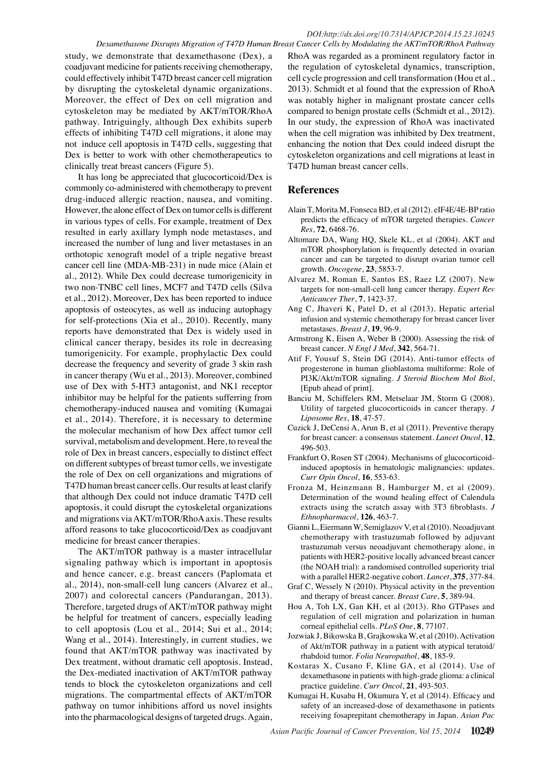study, we demonstrate that dexamethasone (Dex), a coadjuvant medicine for patients receiving chemotherapy, could effectively inhibit T47D breast cancer cell migration by disrupting the cytoskeletal dynamic organizations. Moreover, the effect of Dex on cell migration and cytoskeleton may be mediated by AKT/mTOR/RhoA pathway. Intriguingly, although Dex exhibits superb effects of inhibiting T47D cell migrations, it alone may not induce cell apoptosis in T47D cells, suggesting that Dex is better to work with other chemotherapeutics to clinically treat breast cancers (Figure 5).

It has long be appreciated that glucocorticoid/Dex is commonly co-administered with chemotherapy to prevent drug-induced allergic reaction, nausea, and vomiting. However, the alone effect of Dex on tumor cells is different in various types of cells. For example, treatment of Dex resulted in early axillary lymph node metastases, and increased the number of lung and liver metastases in an orthotopic xenograft model of a triple negative breast cancer cell line (MDA-MB-231) in nude mice (Alain et al., 2012). While Dex could decrease tumorigenicity in two non-TNBC cell lines, MCF7 and T47D cells (Silva et al., 2012). Moreover, Dex has been reported to induce apoptosis of osteocytes, as well as inducing autophagy for self-protections (Xia et al., 2010). Recently, many reports have demonstrated that Dex is widely used in clinical cancer therapy, besides its role in decreasing tumorigenicity. For example, prophylactic Dex could decrease the frequency and severity of grade 3 skin rash in cancer therapy (Wu et al., 2013). Moreover, combined use of Dex with 5-HT3 antagonist, and NK1 receptor inhibitor may be helpful for the patients sufferring from chemotherapy-induced nausea and vomiting (Kumagai et al., 2014). Therefore, it is necessary to determine the molecular mechanism of how Dex affect tumor cell survival, metabolism and development. Here, to reveal the role of Dex in breast cancers, especially to distinct effect on different subtypes of breast tumor cells, we investigate the role of Dex on cell organizations and migrations of T47D human breast cancer cells. Our results at least clarify that although Dex could not induce dramatic T47D cell apoptosis, it could disrupt the cytoskeletal organizations and migrations via AKT/mTOR/RhoA axis. These results afford reasons to take glucocorticoid/Dex as coadjuvant medicine for breast cancer therapies.

The AKT/mTOR pathway is a master intracellular signaling pathway which is important in apoptosis and hence cancer, e.g. breast cancers (Paplomata et al., 2014), non-small-cell lung cancers (Alvarez et al., 2007) and colorectal cancers (Pandurangan, 2013). Therefore, targeted drugs of AKT/mTOR pathway might be helpful for treatment of cancers, especially leading to cell apoptosis (Lou et al., 2014; Sui et al., 2014; Wang et al., 2014). Interestingly, in current studies, we found that AKT/mTOR pathway was inactivated by Dex treatment, without dramatic cell apoptosis. Instead, the Dex-mediated inactivation of AKT/mTOR pathway tends to block the cytoskeleton organizations and cell migrations. The compartmental effects of AKT/mTOR pathway on tumor inhibitions afford us novel insights into the pharmacological designs of targeted drugs. Again,

RhoA was regarded as a prominent regulatory factor in the regulation of cytoskeletal dynamics, transcription, cell cycle progression and cell transformation (Hou et al., 2013). Schmidt et al found that the expression of RhoA was notably higher in malignant prostate cancer cells compared to benign prostate cells (Schmidt et al., 2012). In our study, the expression of RhoA was inactivated when the cell migration was inhibited by Dex treatment, enhancing the notion that Dex could indeed disrupt the cytoskeleton organizations and cell migrations at least in T47D human breast cancer cells.

# **References**

- Alain T, Morita M, Fonseca BD, et al (2012). eIF4E/4E-BP ratio predicts the efficacy of mTOR targeted therapies. *Cancer Res*, **72**, 6468-76.
- Altomare DA, Wang HQ, Skele KL, et al (2004). AKT and mTOR phosphorylation is frequently detected in ovarian cancer and can be targeted to disrupt ovarian tumor cell growth. *Oncogene*, **23**, 5853-7.
- Alvarez M, Roman E, Santos ES, Raez LZ (2007). New targets for non-small-cell lung cancer therapy. *Expert Rev Anticancer Ther*, **7**, 1423-37.
- Ang C, Jhaveri K, Patel D, et al (2013). Hepatic arterial infusion and systemic chemotherapy for breast cancer liver metastases. *Breast J*, **19**, 96-9.
- Armstrong K, Eisen A, Weber B (2000). Assessing the risk of breast cancer. *N Engl J Med*, **342**, 564-71.
- Atif F, Yousuf S, Stein DG (2014). Anti-tumor effects of progesterone in human glioblastoma multiforme: Role of PI3K/Akt/mTOR signaling. *J Steroid Biochem Mol Biol*, [Epub ahead of print].
- Banciu M, Schiffelers RM, Metselaar JM, Storm G (2008). Utility of targeted glucocorticoids in cancer therapy. *J Liposome Res*, **18**, 47-57.
- Cuzick J, DeCensi A, Arun B, et al (2011). Preventive therapy for breast cancer: a consensus statement. *Lancet Oncol*, **12**, 496-503.
- Frankfurt O, Rosen ST (2004). Mechanisms of glucocorticoidinduced apoptosis in hematologic malignancies: updates. *Curr Opin Oncol*, **16**, 553-63.
- Fronza M, Heinzmann B, Hamburger M, et al (2009). Determination of the wound healing effect of Calendula extracts using the scratch assay with 3T3 fibroblasts. *J Ethnopharmacol*, **126**, 463-7.
- Gianni L, Eiermann W, Semiglazov V, et al (2010). Neoadjuvant chemotherapy with trastuzumab followed by adjuvant trastuzumab versus neoadjuvant chemotherapy alone, in patients with HER2-positive locally advanced breast cancer (the NOAH trial): a randomised controlled superiority trial with a parallel HER2-negative cohort. *Lancet*, **375**, 377-84.
- Graf C, Wessely N (2010). Physical activity in the prevention and therapy of breast cancer. *Breast Care*, **5**, 389-94.
- Hou A, Toh LX, Gan KH, et al (2013). Rho GTPases and regulation of cell migration and polarization in human corneal epithelial cells. *PLoS One*, **8**, 77107.
- Jozwiak J, Bikowska B, Grajkowska W, et al (2010). Activation of Akt/mTOR pathway in a patient with atypical teratoid/ rhabdoid tumor. *Folia Neuropathol*, **48**, 185-9.
- Kostaras X, Cusano F, Kline GA, et al (2014). Use of dexamethasone in patients with high-grade glioma: a clinical practice guideline. *Curr Oncol*, **21**, 493-503.
- Kumagai H, Kusaba H, Okumura Y, et al (2014). Efficacy and safety of an increased-dose of dexamethasone in patients receiving fosaprepitant chemotherapy in Japan. *Asian Pac*